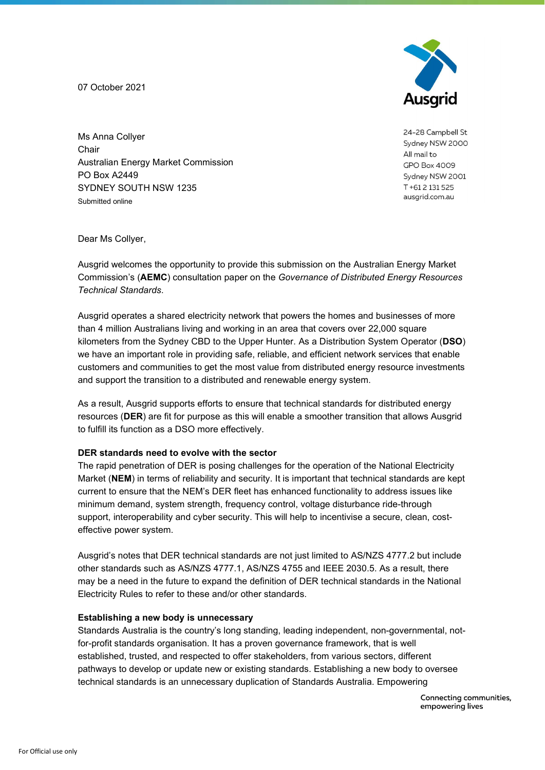07 October 2021



24-28 Campbell St Sydney NSW 2000 All mail to **GPO Box 4009** Sydney NSW 2001 T+61 2 131 525 ausgrid.com.au

Ms Anna Collyer **Chair** Australian Energy Market Commission PO Box A2449 SYDNEY SOUTH NSW 1235 Submitted online

Dear Ms Collyer,

Ausgrid welcomes the opportunity to provide this submission on the Australian Energy Market Commission's (**AEMC**) consultation paper on the Governance of Distributed Energy Resources Technical Standards.

Ausgrid operates a shared electricity network that powers the homes and businesses of more than 4 million Australians living and working in an area that covers over 22,000 square kilometers from the Sydney CBD to the Upper Hunter. As a Distribution System Operator (DSO) we have an important role in providing safe, reliable, and efficient network services that enable customers and communities to get the most value from distributed energy resource investments and support the transition to a distributed and renewable energy system.

As a result, Ausgrid supports efforts to ensure that technical standards for distributed energy resources (DER) are fit for purpose as this will enable a smoother transition that allows Ausgrid to fulfill its function as a DSO more effectively.

#### DER standards need to evolve with the sector

The rapid penetration of DER is posing challenges for the operation of the National Electricity Market (NEM) in terms of reliability and security. It is important that technical standards are kept current to ensure that the NEM's DER fleet has enhanced functionality to address issues like minimum demand, system strength, frequency control, voltage disturbance ride-through support, interoperability and cyber security. This will help to incentivise a secure, clean, costeffective power system.

Ausgrid's notes that DER technical standards are not just limited to AS/NZS 4777.2 but include other standards such as AS/NZS 4777.1, AS/NZS 4755 and IEEE 2030.5. As a result, there may be a need in the future to expand the definition of DER technical standards in the National Electricity Rules to refer to these and/or other standards.

## Establishing a new body is unnecessary

Standards Australia is the country's long standing, leading independent, non-governmental, notfor-profit standards organisation. It has a proven governance framework, that is well established, trusted, and respected to offer stakeholders, from various sectors, different pathways to develop or update new or existing standards. Establishing a new body to oversee technical standards is an unnecessary duplication of Standards Australia. Empowering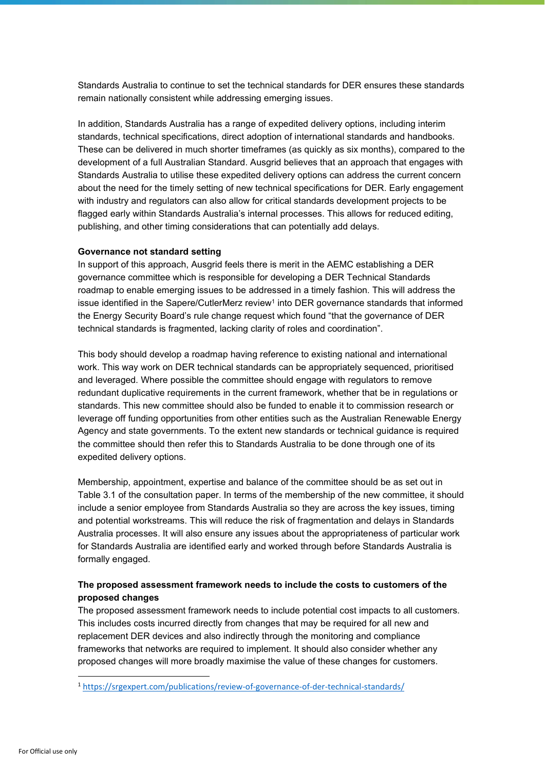Standards Australia to continue to set the technical standards for DER ensures these standards remain nationally consistent while addressing emerging issues.

In addition, Standards Australia has a range of expedited delivery options, including interim standards, technical specifications, direct adoption of international standards and handbooks. These can be delivered in much shorter timeframes (as quickly as six months), compared to the development of a full Australian Standard. Ausgrid believes that an approach that engages with Standards Australia to utilise these expedited delivery options can address the current concern about the need for the timely setting of new technical specifications for DER. Early engagement with industry and regulators can also allow for critical standards development projects to be flagged early within Standards Australia's internal processes. This allows for reduced editing, publishing, and other timing considerations that can potentially add delays.

## Governance not standard setting

In support of this approach, Ausgrid feels there is merit in the AEMC establishing a DER governance committee which is responsible for developing a DER Technical Standards roadmap to enable emerging issues to be addressed in a timely fashion. This will address the issue identified in the Sapere/CutlerMerz review<sup>1</sup> into DER governance standards that informed the Energy Security Board's rule change request which found "that the governance of DER technical standards is fragmented, lacking clarity of roles and coordination".

This body should develop a roadmap having reference to existing national and international work. This way work on DER technical standards can be appropriately sequenced, prioritised and leveraged. Where possible the committee should engage with regulators to remove redundant duplicative requirements in the current framework, whether that be in regulations or standards. This new committee should also be funded to enable it to commission research or leverage off funding opportunities from other entities such as the Australian Renewable Energy Agency and state governments. To the extent new standards or technical guidance is required the committee should then refer this to Standards Australia to be done through one of its expedited delivery options.

Membership, appointment, expertise and balance of the committee should be as set out in Table 3.1 of the consultation paper. In terms of the membership of the new committee, it should include a senior employee from Standards Australia so they are across the key issues, timing and potential workstreams. This will reduce the risk of fragmentation and delays in Standards Australia processes. It will also ensure any issues about the appropriateness of particular work for Standards Australia are identified early and worked through before Standards Australia is formally engaged.

# The proposed assessment framework needs to include the costs to customers of the proposed changes

The proposed assessment framework needs to include potential cost impacts to all customers. This includes costs incurred directly from changes that may be required for all new and replacement DER devices and also indirectly through the monitoring and compliance frameworks that networks are required to implement. It should also consider whether any proposed changes will more broadly maximise the value of these changes for customers.

<sup>1</sup> https://srgexpert.com/publications/review-of-governance-of-der-technical-standards/